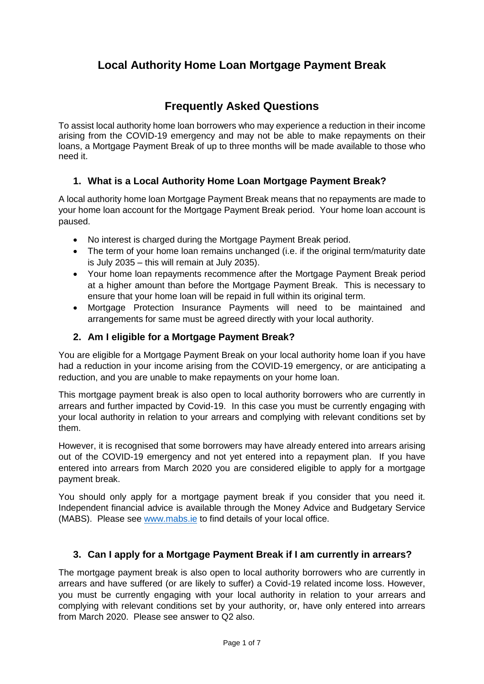# **Local Authority Home Loan Mortgage Payment Break**

# **Frequently Asked Questions**

To assist local authority home loan borrowers who may experience a reduction in their income arising from the COVID-19 emergency and may not be able to make repayments on their loans, a Mortgage Payment Break of up to three months will be made available to those who need it.

#### **1. What is a Local Authority Home Loan Mortgage Payment Break?**

A local authority home loan Mortgage Payment Break means that no repayments are made to your home loan account for the Mortgage Payment Break period. Your home loan account is paused.

- No interest is charged during the Mortgage Payment Break period.
- The term of your home loan remains unchanged (i.e. if the original term/maturity date is July 2035 – this will remain at July 2035).
- Your home loan repayments recommence after the Mortgage Payment Break period at a higher amount than before the Mortgage Payment Break. This is necessary to ensure that your home loan will be repaid in full within its original term.
- Mortgage Protection Insurance Payments will need to be maintained and arrangements for same must be agreed directly with your local authority.

#### **2. Am I eligible for a Mortgage Payment Break?**

You are eligible for a Mortgage Payment Break on your local authority home loan if you have had a reduction in your income arising from the COVID-19 emergency, or are anticipating a reduction, and you are unable to make repayments on your home loan.

This mortgage payment break is also open to local authority borrowers who are currently in arrears and further impacted by Covid-19. In this case you must be currently engaging with your local authority in relation to your arrears and complying with relevant conditions set by them.

However, it is recognised that some borrowers may have already entered into arrears arising out of the COVID-19 emergency and not yet entered into a repayment plan. If you have entered into arrears from March 2020 you are considered eligible to apply for a mortgage payment break.

You should only apply for a mortgage payment break if you consider that you need it. Independent financial advice is available through the Money Advice and Budgetary Service (MABS). Please see [www.mabs.ie](http://www.mabs.ie/) to find details of your local office.

## **3. Can I apply for a Mortgage Payment Break if I am currently in arrears?**

The mortgage payment break is also open to local authority borrowers who are currently in arrears and have suffered (or are likely to suffer) a Covid-19 related income loss. However, you must be currently engaging with your local authority in relation to your arrears and complying with relevant conditions set by your authority, or, have only entered into arrears from March 2020. Please see answer to Q2 also.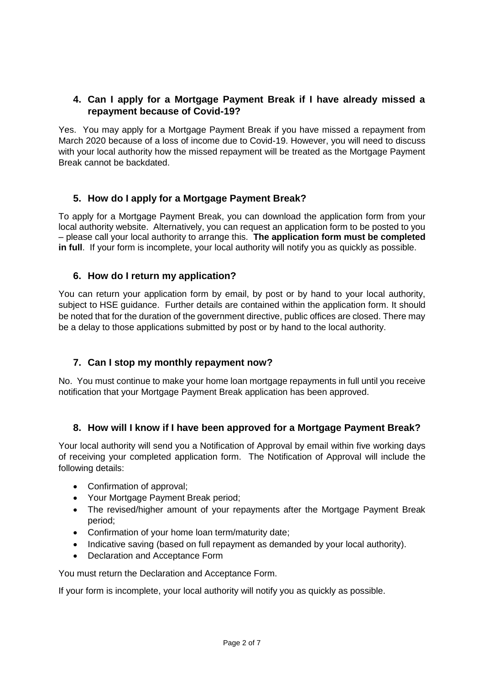### **4. Can I apply for a Mortgage Payment Break if I have already missed a repayment because of Covid-19?**

Yes. You may apply for a Mortgage Payment Break if you have missed a repayment from March 2020 because of a loss of income due to Covid-19. However, you will need to discuss with your local authority how the missed repayment will be treated as the Mortgage Payment Break cannot be backdated.

## **5. How do I apply for a Mortgage Payment Break?**

To apply for a Mortgage Payment Break, you can download the application form from your local authority website. Alternatively, you can request an application form to be posted to you – please call your local authority to arrange this. **The application form must be completed in full**. If your form is incomplete, your local authority will notify you as quickly as possible.

#### **6. How do I return my application?**

You can return your application form by email, by post or by hand to your local authority, subject to HSE guidance. Further details are contained within the application form. It should be noted that for the duration of the government directive, public offices are closed. There may be a delay to those applications submitted by post or by hand to the local authority.

## **7. Can I stop my monthly repayment now?**

No. You must continue to make your home loan mortgage repayments in full until you receive notification that your Mortgage Payment Break application has been approved.

#### **8. How will I know if I have been approved for a Mortgage Payment Break?**

Your local authority will send you a Notification of Approval by email within five working days of receiving your completed application form. The Notification of Approval will include the following details:

- Confirmation of approval:
- Your Mortgage Payment Break period;
- The revised/higher amount of your repayments after the Mortgage Payment Break period;
- Confirmation of your home loan term/maturity date;
- Indicative saving (based on full repayment as demanded by your local authority).
- Declaration and Acceptance Form

You must return the Declaration and Acceptance Form.

If your form is incomplete, your local authority will notify you as quickly as possible.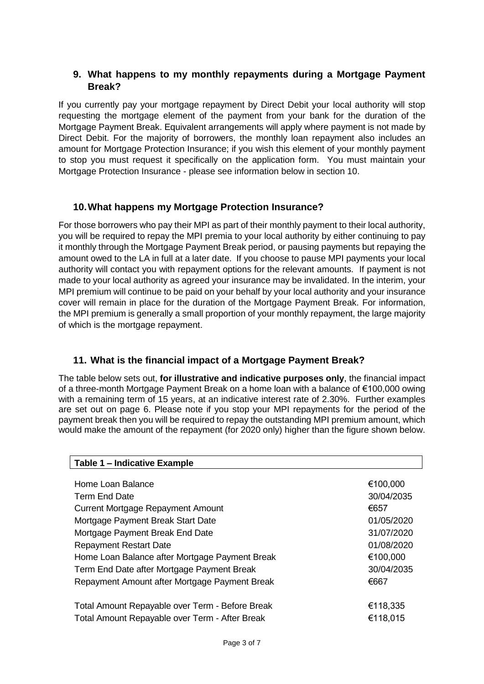#### **9. What happens to my monthly repayments during a Mortgage Payment Break?**

If you currently pay your mortgage repayment by Direct Debit your local authority will stop requesting the mortgage element of the payment from your bank for the duration of the Mortgage Payment Break. Equivalent arrangements will apply where payment is not made by Direct Debit. For the majority of borrowers, the monthly loan repayment also includes an amount for Mortgage Protection Insurance; if you wish this element of your monthly payment to stop you must request it specifically on the application form. You must maintain your Mortgage Protection Insurance - please see information below in section 10.

## **10.What happens my Mortgage Protection Insurance?**

For those borrowers who pay their MPI as part of their monthly payment to their local authority, you will be required to repay the MPI premia to your local authority by either continuing to pay it monthly through the Mortgage Payment Break period, or pausing payments but repaying the amount owed to the LA in full at a later date. If you choose to pause MPI payments your local authority will contact you with repayment options for the relevant amounts. If payment is not made to your local authority as agreed your insurance may be invalidated. In the interim, your MPI premium will continue to be paid on your behalf by your local authority and your insurance cover will remain in place for the duration of the Mortgage Payment Break. For information, the MPI premium is generally a small proportion of your monthly repayment, the large majority of which is the mortgage repayment.

## **11. What is the financial impact of a Mortgage Payment Break?**

The table below sets out, **for illustrative and indicative purposes only**, the financial impact of a three-month Mortgage Payment Break on a home loan with a balance of €100,000 owing with a remaining term of 15 years, at an indicative interest rate of 2.30%. Further examples are set out on page 6. Please note if you stop your MPI repayments for the period of the payment break then you will be required to repay the outstanding MPI premium amount, which would make the amount of the repayment (for 2020 only) higher than the figure shown below.

| Table 1 - Indicative Example                    |            |
|-------------------------------------------------|------------|
|                                                 |            |
| Home Loan Balance                               | €100,000   |
| Term End Date                                   | 30/04/2035 |
| Current Mortgage Repayment Amount               | €657       |
| Mortgage Payment Break Start Date               | 01/05/2020 |
| Mortgage Payment Break End Date                 | 31/07/2020 |
| <b>Repayment Restart Date</b>                   | 01/08/2020 |
| Home Loan Balance after Mortgage Payment Break  | €100,000   |
| Term End Date after Mortgage Payment Break      | 30/04/2035 |
| Repayment Amount after Mortgage Payment Break   | €667       |
|                                                 |            |
| Total Amount Repayable over Term - Before Break | €118,335   |
| Total Amount Repayable over Term - After Break  | €118,015   |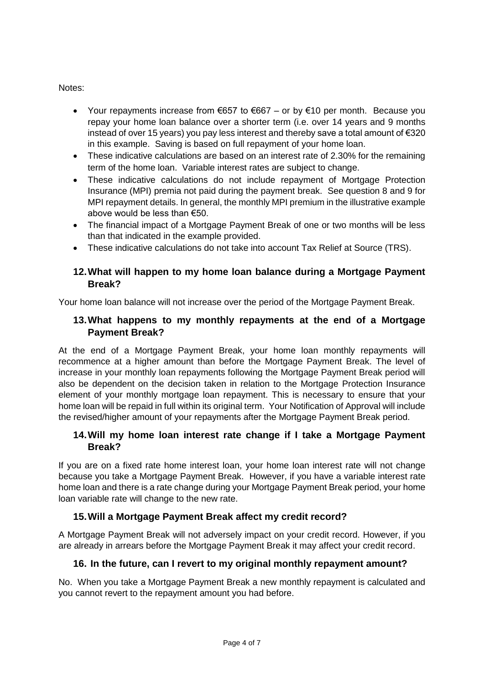#### Notes:

- Your repayments increase from  $\epsilon$ 657 to  $\epsilon$ 667 or by  $\epsilon$ 10 per month. Because you repay your home loan balance over a shorter term (i.e. over 14 years and 9 months instead of over 15 years) you pay less interest and thereby save a total amount of €320 in this example. Saving is based on full repayment of your home loan.
- These indicative calculations are based on an interest rate of 2.30% for the remaining term of the home loan. Variable interest rates are subject to change.
- These indicative calculations do not include repayment of Mortgage Protection Insurance (MPI) premia not paid during the payment break. See question 8 and 9 for MPI repayment details. In general, the monthly MPI premium in the illustrative example above would be less than €50.
- The financial impact of a Mortgage Payment Break of one or two months will be less than that indicated in the example provided.
- These indicative calculations do not take into account Tax Relief at Source (TRS).

## **12.What will happen to my home loan balance during a Mortgage Payment Break?**

Your home loan balance will not increase over the period of the Mortgage Payment Break.

## **13.What happens to my monthly repayments at the end of a Mortgage Payment Break?**

At the end of a Mortgage Payment Break, your home loan monthly repayments will recommence at a higher amount than before the Mortgage Payment Break. The level of increase in your monthly loan repayments following the Mortgage Payment Break period will also be dependent on the decision taken in relation to the Mortgage Protection Insurance element of your monthly mortgage loan repayment. This is necessary to ensure that your home loan will be repaid in full within its original term. Your Notification of Approval will include the revised/higher amount of your repayments after the Mortgage Payment Break period.

## **14.Will my home loan interest rate change if I take a Mortgage Payment Break?**

If you are on a fixed rate home interest loan, your home loan interest rate will not change because you take a Mortgage Payment Break. However, if you have a variable interest rate home loan and there is a rate change during your Mortgage Payment Break period, your home loan variable rate will change to the new rate.

## **15.Will a Mortgage Payment Break affect my credit record?**

A Mortgage Payment Break will not adversely impact on your credit record. However, if you are already in arrears before the Mortgage Payment Break it may affect your credit record.

## **16. In the future, can I revert to my original monthly repayment amount?**

No. When you take a Mortgage Payment Break a new monthly repayment is calculated and you cannot revert to the repayment amount you had before.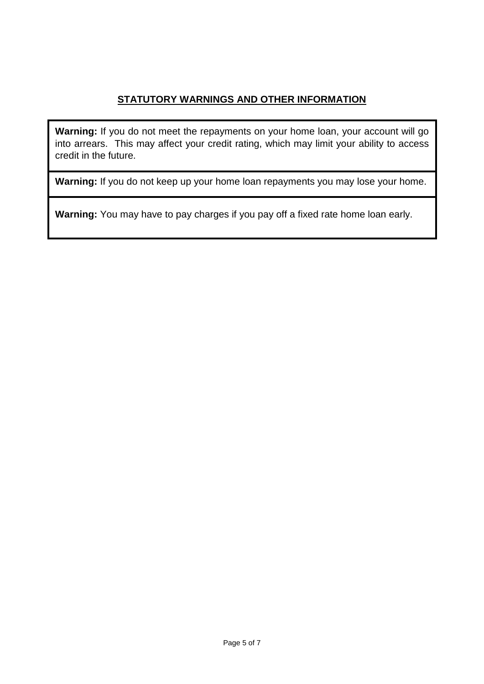## **STATUTORY WARNINGS AND OTHER INFORMATION**

**Warning:** If you do not meet the repayments on your home loan, your account will go into arrears. This may affect your credit rating, which may limit your ability to access credit in the future.

**Warning:** If you do not keep up your home loan repayments you may lose your home.

**Warning:** You may have to pay charges if you pay off a fixed rate home loan early.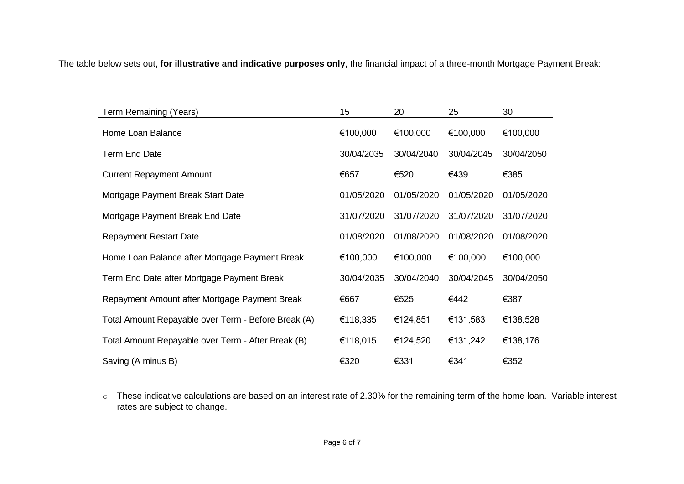The table below sets out, **for illustrative and indicative purposes only**, the financial impact of a three-month Mortgage Payment Break:

| Term Remaining (Years)                              | 15         | 20         | 25         | 30         |
|-----------------------------------------------------|------------|------------|------------|------------|
| Home Loan Balance                                   | €100,000   | €100,000   | €100,000   | €100,000   |
| <b>Term End Date</b>                                | 30/04/2035 | 30/04/2040 | 30/04/2045 | 30/04/2050 |
| <b>Current Repayment Amount</b>                     | €657       | €520       | €439       | €385       |
| Mortgage Payment Break Start Date                   | 01/05/2020 | 01/05/2020 | 01/05/2020 | 01/05/2020 |
| Mortgage Payment Break End Date                     | 31/07/2020 | 31/07/2020 | 31/07/2020 | 31/07/2020 |
| <b>Repayment Restart Date</b>                       | 01/08/2020 | 01/08/2020 | 01/08/2020 | 01/08/2020 |
| Home Loan Balance after Mortgage Payment Break      | €100,000   | €100,000   | €100,000   | €100,000   |
| Term End Date after Mortgage Payment Break          | 30/04/2035 | 30/04/2040 | 30/04/2045 | 30/04/2050 |
| Repayment Amount after Mortgage Payment Break       | €667       | €525       | €442       | €387       |
| Total Amount Repayable over Term - Before Break (A) | €118,335   | €124,851   | €131,583   | €138,528   |
| Total Amount Repayable over Term - After Break (B)  | €118,015   | €124,520   | €131,242   | €138,176   |
| Saving (A minus B)                                  | €320       | €331       | €341       | €352       |

o These indicative calculations are based on an interest rate of 2.30% for the remaining term of the home loan. Variable interest rates are subject to change.